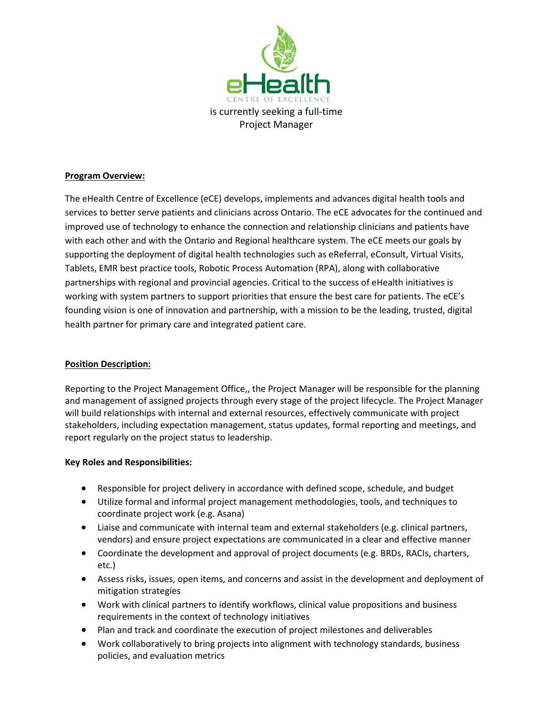

## **Program Overview:**

The eHealth Centre of Excellence (eCE) develops, implements and advances digital health tools and services to better serve patients and clinicians across Ontario. The eCE advocates for the continued and improved use of technology to enhance the connection and relationship clinicians and patients have with each other and with the Ontario and Regional healthcare system. The eCE meets our goals by supporting the deployment of digital health technologies such as eReferral, eConsult, Virtual Visits, Tablets, EMR best practice tools, Robotic Process Automation (RPA), along with collaborative partnerships with regional and provincial agencies. Critical to the success of eHealth initiatives is working with system partners to support priorities that ensure the best care for patients. The eCE's founding vision is one of innovation and partnership, with a mission to be the leading, trusted, digital health partner for primary care and integrated patient care.

## **Position Description:**

Reporting to the Project Management Office,, the Project Manager will be responsible for the planning and management of assigned projects through every stage of the project lifecycle. The Project Manager will build relationships with internal and external resources, effectively communicate with project stakeholders, including expectation management, status updates, formal reporting and meetings, and report regularly on the project status to leadership.

## **Key Roles and Responsibilities:**

- Responsible for project delivery in accordance with defined scope, schedule, and budget
- Utilize formal and informal project management methodologies, tools, and techniques to coordinate project work (e.g. Asana)
- Liaise and communicate with internal team and external stakeholders (e.g. clinical partners, vendors) and ensure project expectations are communicated in a clear and effective manner
- Coordinate the development and approval of project documents (e.g. BRDs, RACIs, charters, etc.)
- Assess risks, issues, open items, and concerns and assist in the development and deployment of mitigation strategies
- Work with clinical partners to identify workflows, clinical value propositions and business requirements in the context of technology initiatives
- Plan and track and coordinate the execution of project milestones and deliverables
- Work collaboratively to bring projects into alignment with technology standards, business policies, and evaluation metrics